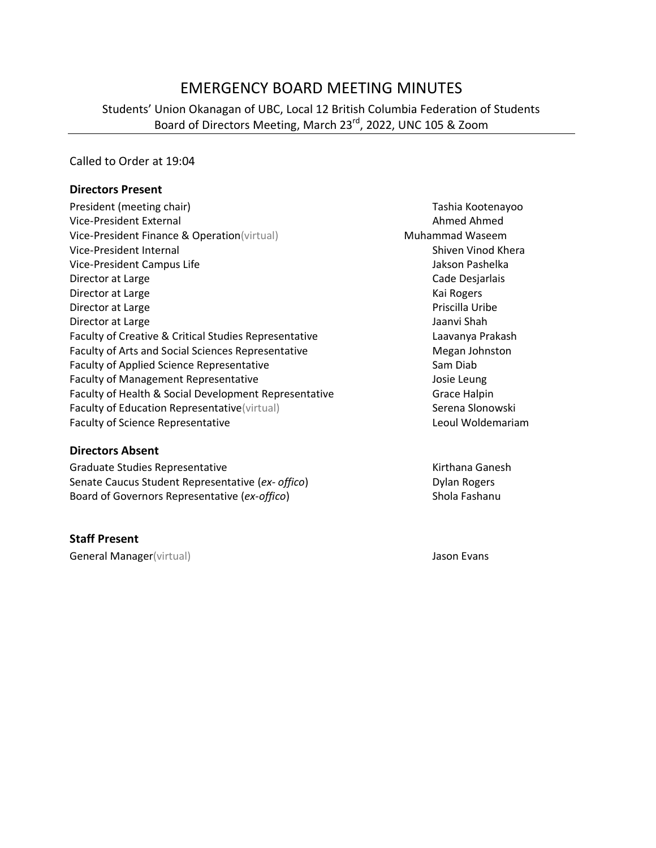# EMERGENCY BOARD MEETING MINUTES

### Students' Union Okanagan of UBC, Local 12 British Columbia Federation of Students Board of Directors Meeting, March 23<sup>rd</sup>, 2022, UNC 105 & Zoom

#### Called to Order at 19:04

#### **Directors Present**

| President (meeting chair)                                 | Tashia Koot    |
|-----------------------------------------------------------|----------------|
| Vice-President External                                   | Ahmed Ahn      |
| Vice-President Finance & Operation(virtual)               | Muhammad Was   |
| Vice-President Internal                                   | Shiven Vino    |
| Vice-President Campus Life                                | Jakson Pash    |
| Director at Large                                         | Cade Desjar    |
| Director at Large                                         | Kai Rogers     |
| Director at Large                                         | Priscilla Uril |
| Director at Large                                         | Jaanvi Shah    |
| Faculty of Creative & Critical Studies Representative     | Laavanya Pi    |
| <b>Faculty of Arts and Social Sciences Representative</b> | Megan Johr     |
| <b>Faculty of Applied Science Representative</b>          | Sam Diab       |
| <b>Faculty of Management Representative</b>               | Josie Leung    |
| Faculty of Health & Social Development Representative     | Grace Halpi    |
| Faculty of Education Representative (virtual)             | Serena Slon    |
| <b>Faculty of Science Representative</b>                  | Leoul Wold     |

#### **Directors Absent**

Graduate Studies Representative **Kirthana Ganesh** Kirthana Ganesh Senate Caucus Student Representative (ex- offico) Dylan Rogers Board of Governors Representative (*ex-offico*) Shola Fashanu

#### **Staff Present**

General Manager(virtual) and a settlement of the settlement of the settlement of the settlement of the settlement of the settlement of the settlement of the settlement of the settlement of the settlement of the settlement

Tashia Kootenayoo Ahmed Ahmed **Muhammad Waseem** Shiven Vinod Khera Jakson Pashelka Cade Desjarlais Kai Rogers Priscilla Uribe Laavanya Prakash Megan Johnston Josie Leung Grace Halpin Serena Slonowski Leoul Woldemariam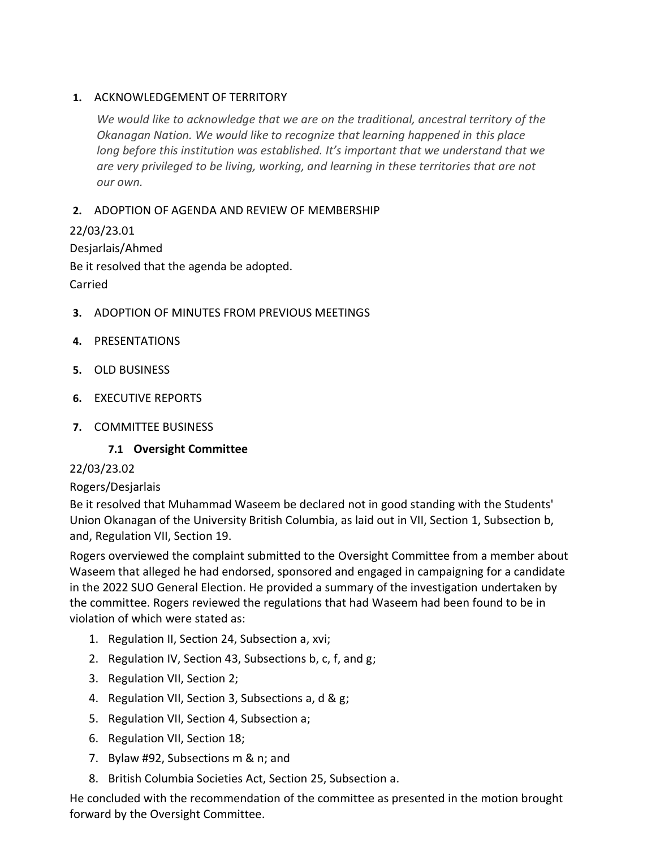### **1.** ACKNOWLEDGEMENT OF TERRITORY

*We would like to acknowledge that we are on the traditional, ancestral territory of the Okanagan Nation. We would like to recognize that learning happened in this place long before this institution was established. It's important that we understand that we are very privileged to be living, working, and learning in these territories that are not our own.*

## **2.** ADOPTION OF AGENDA AND REVIEW OF MEMBERSHIP

22/03/23.01 Desjarlais/Ahmed Be it resolved that the agenda be adopted. Carried

- **3.** ADOPTION OF MINUTES FROM PREVIOUS MEETINGS
- **4.** PRESENTATIONS
- **5.** OLD BUSINESS
- **6.** EXECUTIVE REPORTS
- **7.** COMMITTEE BUSINESS

**7.1 Oversight Committee**

### 22/03/23.02

### Rogers/Desjarlais

Be it resolved that Muhammad Waseem be declared not in good standing with the Students' Union Okanagan of the University British Columbia, as laid out in VII, Section 1, Subsection b, and, Regulation VII, Section 19.

Rogers overviewed the complaint submitted to the Oversight Committee from a member about Waseem that alleged he had endorsed, sponsored and engaged in campaigning for a candidate in the 2022 SUO General Election. He provided a summary of the investigation undertaken by the committee. Rogers reviewed the regulations that had Waseem had been found to be in violation of which were stated as:

- 1. Regulation II, Section 24, Subsection a, xvi;
- 2. Regulation IV, Section 43, Subsections b, c, f, and g;
- 3. Regulation VII, Section 2;
- 4. Regulation VII, Section 3, Subsections a, d & g;
- 5. Regulation VII, Section 4, Subsection a;
- 6. Regulation VII, Section 18;
- 7. Bylaw #92, Subsections m & n; and
- 8. British Columbia Societies Act, Section 25, Subsection a.

He concluded with the recommendation of the committee as presented in the motion brought forward by the Oversight Committee.